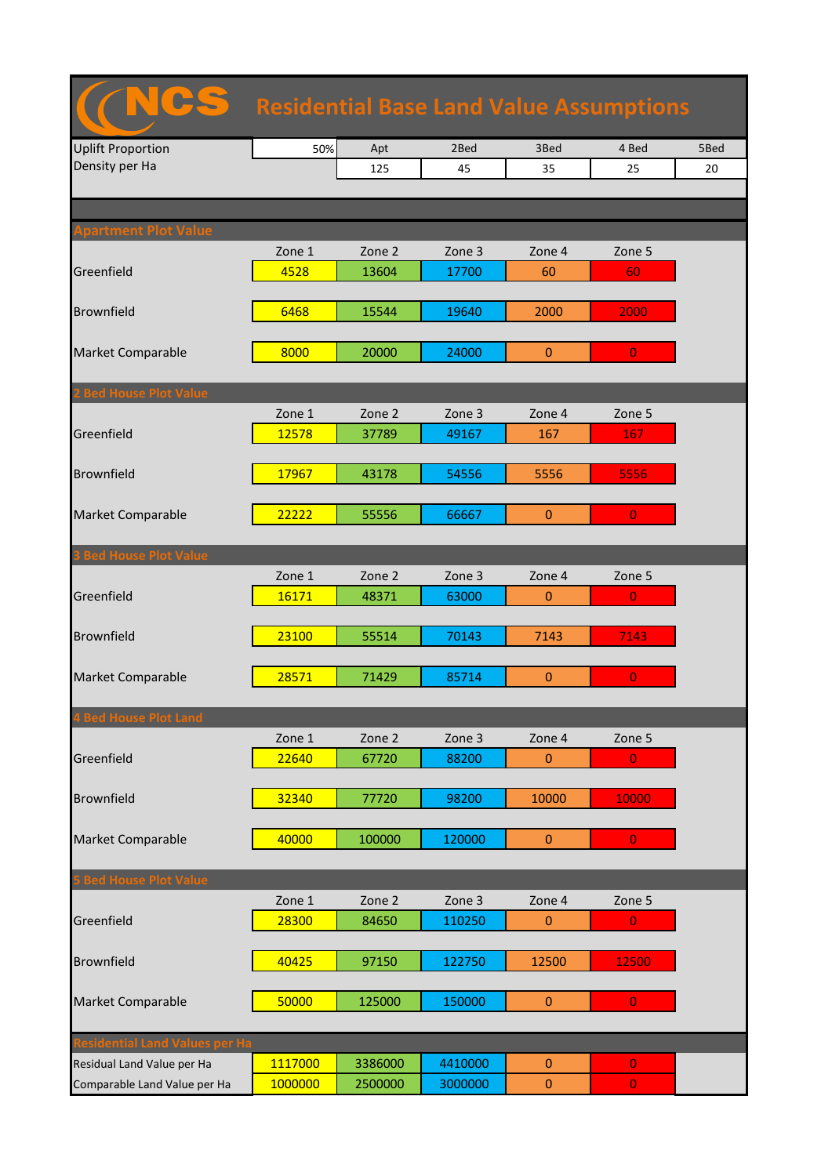| <b>Residential Base Land Value Assumptions</b> |         |         |         |                |                |      |  |  |
|------------------------------------------------|---------|---------|---------|----------------|----------------|------|--|--|
| <b>Uplift Proportion</b>                       | 50%     | Apt     | 2Bed    | 3Bed           | 4 Bed          | 5Bed |  |  |
| Density per Ha                                 |         | 125     | 45      | 35             | 25             | 20   |  |  |
|                                                |         |         |         |                |                |      |  |  |
|                                                |         |         |         |                |                |      |  |  |
| partment Plot Value                            | Zone 1  | Zone 2  | Zone 3  | Zone 4         | Zone 5         |      |  |  |
| Greenfield                                     | 4528    | 13604   | 17700   | 60             | 60             |      |  |  |
|                                                |         |         |         |                |                |      |  |  |
| <b>Brownfield</b>                              | 6468    | 15544   | 19640   | 2000           | 2000           |      |  |  |
|                                                |         |         |         |                |                |      |  |  |
| <b>Market Comparable</b>                       | 8000    | 20000   | 24000   | $\overline{0}$ | $\overline{0}$ |      |  |  |
|                                                |         |         |         |                |                |      |  |  |
| <b>Bed House Plot Value</b>                    |         |         |         |                |                |      |  |  |
|                                                | Zone 1  | Zone 2  | Zone 3  | Zone 4         | Zone 5         |      |  |  |
| Greenfield                                     | 12578   | 37789   | 49167   | 167            | 167            |      |  |  |
| <b>Brownfield</b>                              | 17967   | 43178   | 54556   | 5556           | 5556           |      |  |  |
|                                                |         |         |         |                |                |      |  |  |
| <b>Market Comparable</b>                       | 22222   | 55556   | 66667   | $\mathbf{0}$   | $\overline{0}$ |      |  |  |
|                                                |         |         |         |                |                |      |  |  |
| <b>3 Bed House Plot Value</b>                  |         |         |         |                |                |      |  |  |
|                                                | Zone 1  | Zone 2  | Zone 3  | Zone 4         | Zone 5         |      |  |  |
| Greenfield                                     | 16171   | 48371   | 63000   | $\mathbf{0}$   | $\overline{0}$ |      |  |  |
|                                                |         |         |         |                |                |      |  |  |
| <b>Brownfield</b>                              | 23100   | 55514   | 70143   | 7143           | 7143           |      |  |  |
| <b>Market Comparable</b>                       | 28571   | 71429   | 85714   | $\pmb{0}$      | $\overline{0}$ |      |  |  |
|                                                |         |         |         |                |                |      |  |  |
| <b>4 Bed House Plot Land</b>                   |         |         |         |                |                |      |  |  |
|                                                | Zone 1  | Zone 2  | Zone 3  | Zone 4         | Zone 5         |      |  |  |
| Greenfield                                     | 22640   | 67720   | 88200   | $\mathbf{0}$   | $\overline{0}$ |      |  |  |
|                                                |         |         |         |                |                |      |  |  |
| <b>Brownfield</b>                              | 32340   | 77720   | 98200   | 10000          | 10000          |      |  |  |
|                                                |         |         |         |                |                |      |  |  |
| <b>Market Comparable</b>                       | 40000   | 100000  | 120000  | $\pmb{0}$      | $\overline{0}$ |      |  |  |
| <b>S Bed House Plot Value</b>                  |         |         |         |                |                |      |  |  |
|                                                | Zone 1  | Zone 2  | Zone 3  | Zone 4         | Zone 5         |      |  |  |
| Greenfield                                     | 28300   | 84650   | 110250  | $\mathbf{0}$   | $\mathbf{0}$   |      |  |  |
|                                                |         |         |         |                |                |      |  |  |
| <b>Brownfield</b>                              | 40425   | 97150   | 122750  | 12500          | 12500          |      |  |  |
|                                                |         |         |         |                |                |      |  |  |
| <b>Market Comparable</b>                       | 50000   | 125000  | 150000  | $\mathbf{0}$   | $\overline{0}$ |      |  |  |
|                                                |         |         |         |                |                |      |  |  |
| esidential Land Values per Ha                  |         |         |         |                |                |      |  |  |
| Residual Land Value per Ha                     | 1117000 | 3386000 | 4410000 | $\overline{0}$ | $\mathbf{0}$   |      |  |  |
| Comparable Land Value per Ha                   | 1000000 | 2500000 | 3000000 | $\pmb{0}$      | $\mathbf{0}$   |      |  |  |

ncs and the control of the control of the control of the control of the control of the control of the control o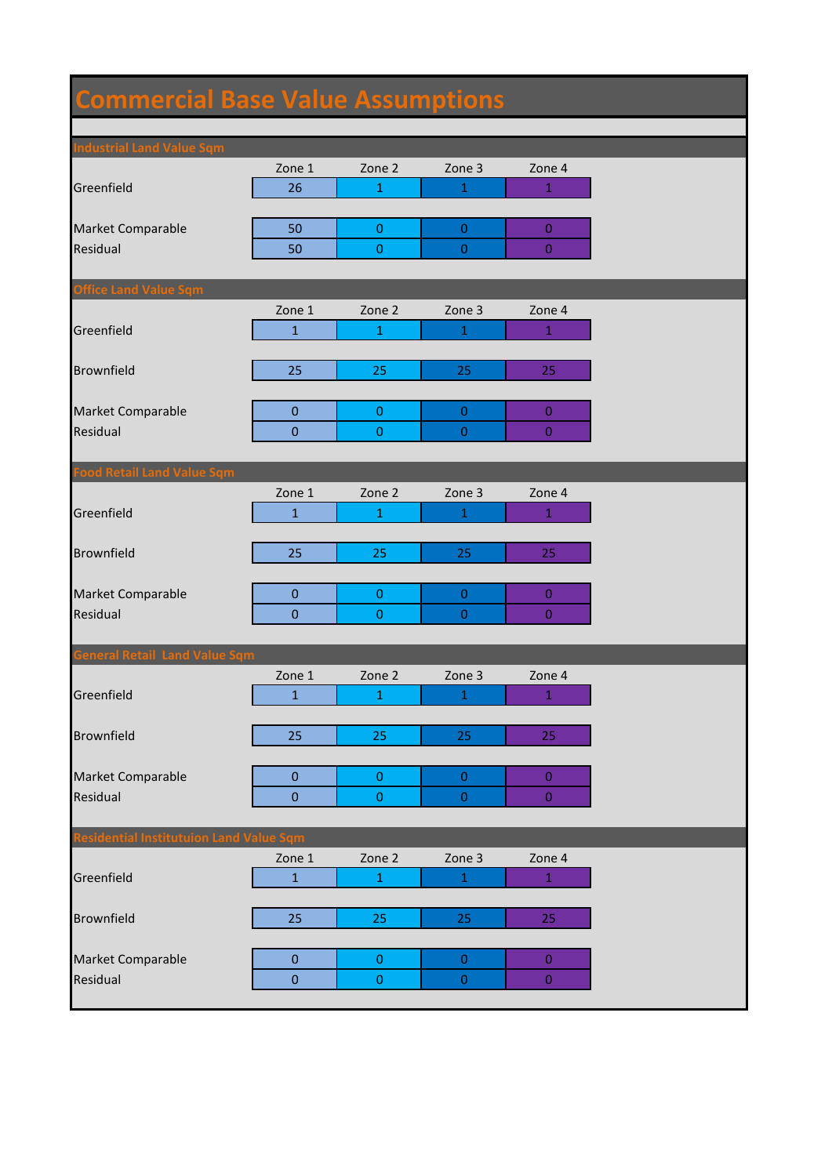## **Commercial Base Value Assumptions**

| <b>Industrial Land Value Sqm</b>       |                  |                  |                  |                  |
|----------------------------------------|------------------|------------------|------------------|------------------|
|                                        | Zone 1           | Zone 2           | Zone 3           | Zone 4           |
| Greenfield                             | 26               | $\mathbf 1$      | $\,1\,$          | $1\,$            |
|                                        |                  |                  |                  |                  |
| Market Comparable                      | 50               | $\boldsymbol{0}$ | $\mathbf{0}$     | $\bf 0$          |
| Residual                               | 50               | $\pmb{0}$        | $\mathbf{0}$     | $\overline{0}$   |
|                                        |                  |                  |                  |                  |
| <b>Office Land Value Sqm</b>           |                  |                  |                  |                  |
|                                        | Zone 1           | Zone 2           | Zone 3           | Zone 4           |
| Greenfield                             | $\mathbf{1}$     | $\mathbf{1}$     | 1                | $\mathbf{1}$     |
|                                        |                  |                  |                  |                  |
| <b>Brownfield</b>                      | 25               | 25               | 25               | 25               |
|                                        |                  |                  |                  |                  |
| Market Comparable                      | $\pmb{0}$        | $\pmb{0}$        | $\mathbf 0$      | $\bf 0$          |
| Residual                               | $\mathbf 0$      | $\pmb{0}$        | $\boldsymbol{0}$ | $\mathbf{0}$     |
|                                        |                  |                  |                  |                  |
| <b>Food Retail Land Value Sqm</b>      |                  |                  |                  |                  |
|                                        | Zone 1           | Zone 2           | Zone 3           | Zone 4           |
| Greenfield                             | $\mathbf{1}$     | $\mathbf{1}$     | 1                | $\mathbf{1}$     |
|                                        |                  |                  |                  |                  |
| <b>Brownfield</b>                      | 25               | 25               | 25               | 25               |
|                                        |                  |                  |                  |                  |
| Market Comparable                      | $\pmb{0}$        | $\pmb{0}$        | $\boldsymbol{0}$ | $\bf{0}$         |
| Residual                               | $\mathbf{0}$     | $\pmb{0}$        | $\boldsymbol{0}$ | $\mathbf{0}$     |
|                                        |                  |                  |                  |                  |
| <b>General Retail Land Value Sqm</b>   |                  |                  |                  |                  |
|                                        | Zone 1           | Zone 2           | Zone 3           | Zone 4           |
| Greenfield                             | $\mathbf{1}$     | $\mathbf{1}$     | 1                | $\mathbf{1}$     |
|                                        |                  |                  |                  |                  |
| <b>Brownfield</b>                      | 25               | 25               | 25               | 25               |
|                                        |                  |                  |                  |                  |
| Market Comparable                      | $\mathbf 0$      | $\pmb{0}$        | $\boldsymbol{0}$ | $\overline{0}$   |
| Residual                               | $\boldsymbol{0}$ | $\pmb{0}$        | $\boldsymbol{0}$ | $\overline{0}$   |
|                                        |                  |                  |                  |                  |
| esidential Institutuion Land Value Sqm |                  |                  |                  |                  |
|                                        | Zone 1           | Zone 2           | Zone 3           | Zone 4           |
| Greenfield                             | $\mathbf{1}$     | $\mathbf 1$      | $\,1\,$          | $1^{\circ}$      |
|                                        |                  |                  |                  |                  |
| <b>Brownfield</b>                      | 25               | 25               | 25               | 25               |
|                                        |                  |                  |                  |                  |
| Market Comparable                      | $\bf 0$          | $\pmb{0}$        | $\boldsymbol{0}$ | $\bf 0$          |
| Residual                               | $\pmb{0}$        | $\pmb{0}$        | $\boldsymbol{0}$ | $\boldsymbol{0}$ |
|                                        |                  |                  |                  |                  |